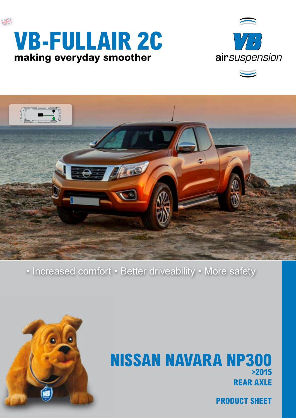





• Increased comfort • Better driveability • More safety



# **REAR AXLE NISSAN NAVARA NP300 >2015**

**PRODUCT SHEET**